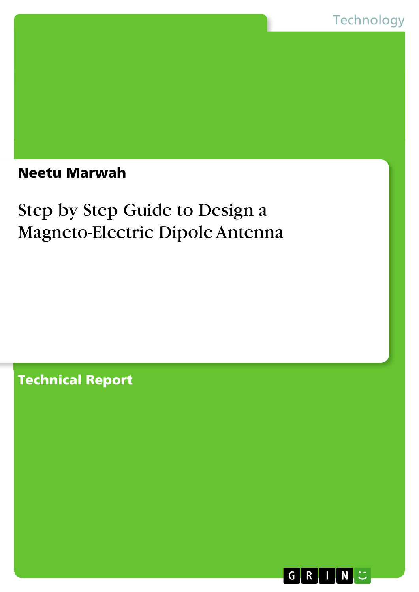### Neetu Marwah

## Step by Step Guide to Design a Magneto-Electric Dipole Antenna

Technical Report

 $\mathsf{G}$  $R$  $\mathsf{I}$ ,  $\mathsf{N}$ ,  $\mathbb{C}$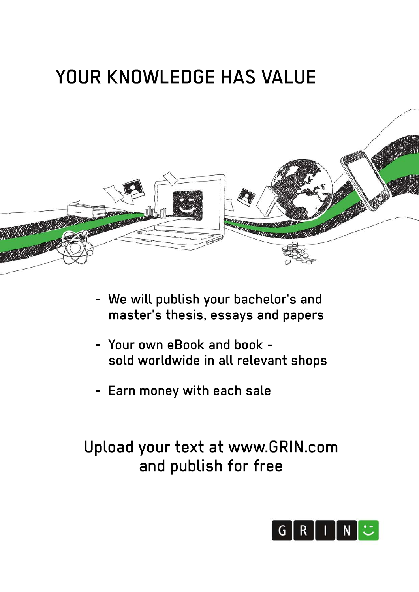# YOUR KNOWLEDGE HAS VALUE



- We will publish your bachelor's and master's thesis, essays and papers
- Your own eBook and book sold worldwide in all relevant shops
- Earn money with each sale

## Upload your text at www.GRIN.com and publish for free

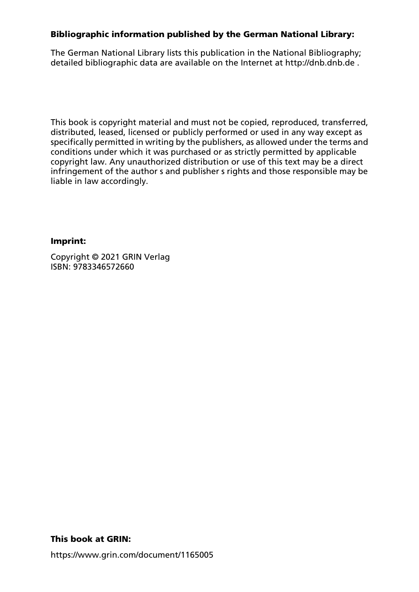#### Bibliographic information published by the German National Library:

The German National Library lists this publication in the National Bibliography; detailed bibliographic data are available on the Internet at http://dnb.dnb.de .

This book is copyright material and must not be copied, reproduced, transferred, distributed, leased, licensed or publicly performed or used in any way except as specifically permitted in writing by the publishers, as allowed under the terms and conditions under which it was purchased or as strictly permitted by applicable copyright law. Any unauthorized distribution or use of this text may be a direct infringement of the author s and publisher s rights and those responsible may be liable in law accordingly.

#### Imprint:

Copyright © 2021 GRIN Verlag ISBN: 9783346572660

#### This book at GRIN:

https://www.grin.com/document/1165005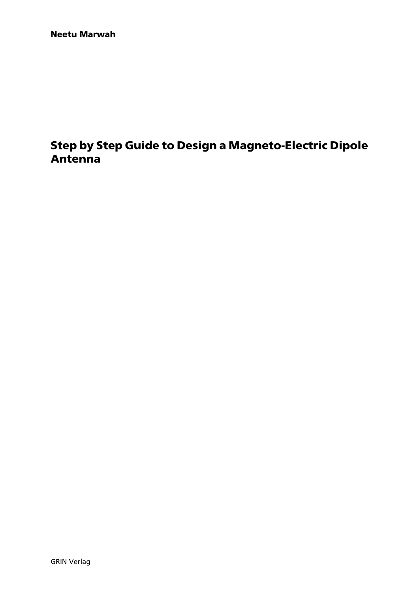### Step by Step Guide to Design a Magneto-Electric Dipole Antenna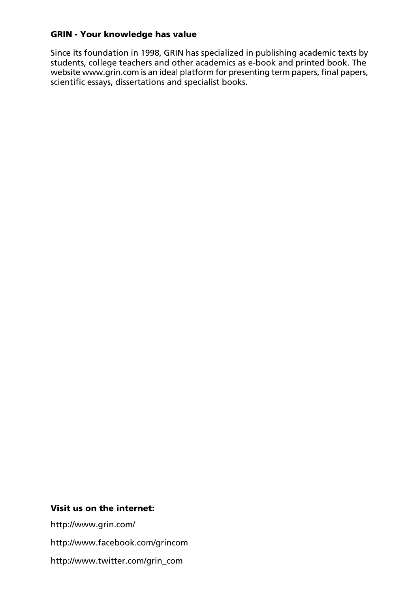#### GRIN - Your knowledge has value

Since its foundation in 1998, GRIN has specialized in publishing academic texts by students, college teachers and other academics as e-book and printed book. The website www.grin.com is an ideal platform for presenting term papers, final papers, scientific essays, dissertations and specialist books.

#### Visit us on the internet:

http://www.grin.com/ http://www.facebook.com/grincom http://www.twitter.com/grin\_com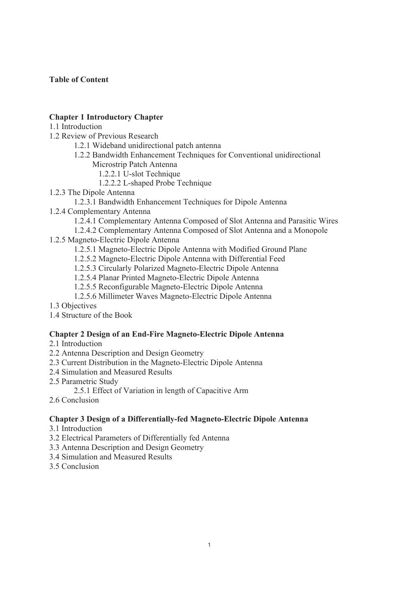#### **Table of Content**

#### **Chapter 1 Introductory Chapter**

#### 1.1 Introduction

- 1.2 Review of Previous Research
	- 1.2.1 Wideband unidirectional patch antenna
	- 1.2.2 Bandwidth Enhancement Techniques for Conventional unidirectional Microstrip Patch Antenna
		- 1.2.2.1 U-slot Technique
		- 1.2.2.2 L-shaped Probe Technique
- 1.2.3 The Dipole Antenna
	- 1.2.3.1 Bandwidth Enhancement Techniques for Dipole Antenna
- 1.2.4 Complementary Antenna
	- 1.2.4.1 Complementary Antenna Composed of Slot Antenna and Parasitic Wires
	- 1.2.4.2 Complementary Antenna Composed of Slot Antenna and a Monopole
- 1.2.5 Magneto-Electric Dipole Antenna
	- 1.2.5.1 Magneto-Electric Dipole Antenna with Modified Ground Plane
	- 1.2.5.2 Magneto-Electric Dipole Antenna with Differential Feed
	- 1.2.5.3 Circularly Polarized Magneto-Electric Dipole Antenna
	- 1.2.5.4 Planar Printed Magneto-Electric Dipole Antenna
	- 1.2.5.5 Reconfigurable Magneto-Electric Dipole Antenna
	- 1.2.5.6 Millimeter Waves Magneto-Electric Dipole Antenna
- 1.3 Objectives
- 1.4 Structure of the Book

#### **Chapter 2 Design of an End-Fire Magneto-Electric Dipole Antenna**

- 2.1 Introduction
- 2.2 Antenna Description and Design Geometry
- 2.3 Current Distribution in the Magneto-Electric Dipole Antenna
- 2.4 Simulation and Measured Results
- 2.5 Parametric Study
	- 2.5.1 Effect of Variation in length of Capacitive Arm
- 2.6 Conclusion

#### **Chapter 3 Design of a Differentially-fed Magneto-Electric Dipole Antenna**

- 3.1 Introduction
- 3.2 Electrical Parameters of Differentially fed Antenna
- 3.3 Antenna Description and Design Geometry
- 3.4 Simulation and Measured Results
- 3.5 Conclusion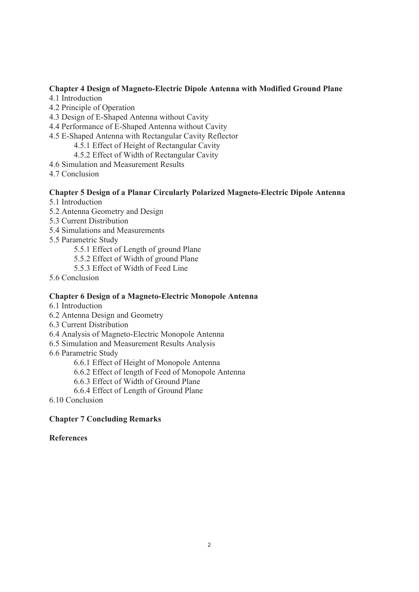#### **Chapter 4 Design of Magneto-Electric Dipole Antenna with Modified Ground Plane**

- 4.1 Introduction
- 4.2 Principle of Operation
- 4.3 Design of E-Shaped Antenna without Cavity
- 4.4 Performance of E-Shaped Antenna without Cavity
- 4.5 E-Shaped Antenna with Rectangular Cavity Reflector
	- 4.5.1 Effect of Height of Rectangular Cavity
	- 4.5.2 Effect of Width of Rectangular Cavity
- 4.6 Simulation and Measurement Results
- 4.7 Conclusion

#### **Chapter 5 Design of a Planar Circularly Polarized Magneto-Electric Dipole Antenna**

- 5.1 Introduction
- 5.2 Antenna Geometry and Design
- 5.3 Current Distribution
- 5.4 Simulations and Measurements
- 5.5 Parametric Study
	- 5.5.1 Effect of Length of ground Plane
	- 5.5.2 Effect of Width of ground Plane
	- 5.5.3 Effect of Width of Feed Line
- 5.6 Conclusion

#### **Chapter 6 Design of a Magneto-Electric Monopole Antenna**

- 6.1 Introduction
- 6.2 Antenna Design and Geometry
- 6.3 Current Distribution
- 6.4 Analysis of Magneto-Electric Monopole Antenna
- 6.5 Simulation and Measurement Results Analysis
- 6.6 Parametric Study

6.6.1 Effect of Height of Monopole Antenna

- 6.6.2 Effect of length of Feed of Monopole Antenna
- 6.6.3 Effect of Width of Ground Plane
- 6.6.4 Effect of Length of Ground Plane
- 6.10 Conclusion

#### **Chapter 7 Concluding Remarks**

#### **References**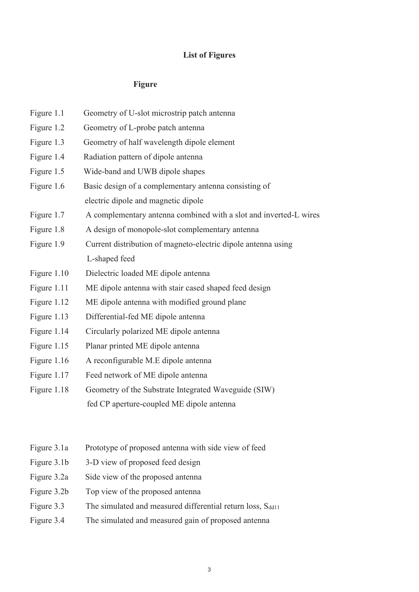#### **List of Figures**

#### **Figure**

- Figure 1.1 Geometry of U-slot microstrip patch antenna
- Figure 1.2 Geometry of L-probe patch antenna
- Figure 1.3 Geometry of half wavelength dipole element
- Figure 1.4 Radiation pattern of dipole antenna
- Figure 1.5 Wide-band and UWB dipole shapes
- Figure 1.6 Basic design of a complementary antenna consisting of electric dipole and magnetic dipole
- Figure 1.7 A complementary antenna combined with a slot and inverted-L wires
- Figure 1.8 A design of monopole-slot complementary antenna
- Figure 1.9 Current distribution of magneto-electric dipole antenna using L-shaped feed
- Figure 1.10 Dielectric loaded ME dipole antenna
- Figure 1.11 ME dipole antenna with stair cased shaped feed design
- Figure 1.12 ME dipole antenna with modified ground plane
- Figure 1.13 Differential-fed ME dipole antenna
- Figure 1.14 Circularly polarized ME dipole antenna
- Figure 1.15 Planar printed ME dipole antenna
- Figure 1.16 A reconfigurable M.E dipole antenna
- Figure 1.17 Feed network of ME dipole antenna
- Figure 1.18 Geometry of the Substrate Integrated Waveguide (SIW) fed CP aperture-coupled ME dipole antenna
- Figure 3.1a Prototype of proposed antenna with side view of feed
- Figure 3.1b 3-D view of proposed feed design
- Figure 3.2a Side view of the proposed antenna
- Figure 3.2b Top view of the proposed antenna
- Figure 3.3 The simulated and measured differential return loss,  $S_{dd11}$
- Figure 3.4 The simulated and measured gain of proposed antenna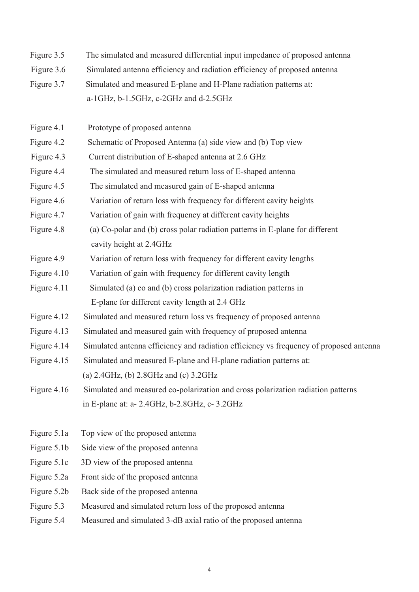- Figure 3.5 The simulated and measured differential input impedance of proposed antenna
- Figure 3.6 Simulated antenna efficiency and radiation efficiency of proposed antenna
- Figure 3.7 Simulated and measured E-plane and H-Plane radiation patterns at: a-1GHz, b-1.5GHz, c-2GHz and d-2.5GHz
- Figure 4.1 Prototype of proposed antenna
- Figure 4.2 Schematic of Proposed Antenna (a) side view and (b) Top view
- Figure 4.3 Current distribution of E-shaped antenna at 2.6 GHz
- Figure 4.4 The simulated and measured return loss of E-shaped antenna
- Figure 4.5 The simulated and measured gain of E-shaped antenna
- Figure 4.6 Variation of return loss with frequency for different cavity heights
- Figure 4.7 Variation of gain with frequency at different cavity heights
- Figure 4.8 (a) Co-polar and (b) cross polar radiation patterns in E-plane for different cavity height at 2.4GHz
- Figure 4.9 Variation of return loss with frequency for different cavity lengths
- Figure 4.10 Variation of gain with frequency for different cavity length
- Figure 4.11 Simulated (a) co and (b) cross polarization radiation patterns in E-plane for different cavity length at 2.4 GHz
- Figure 4.12 Simulated and measured return loss vs frequency of proposed antenna
- Figure 4.13 Simulated and measured gain with frequency of proposed antenna
- Figure 4.14 Simulated antenna efficiency and radiation efficiency vs frequency of proposed antenna
- Figure 4.15 Simulated and measured E-plane and H-plane radiation patterns at: (a) 2.4GHz, (b) 2.8GHz and (c) 3.2GHz
- Figure 4.16 Simulated and measured co-polarization and cross polarization radiation patterns in E-plane at: a- 2.4GHz, b-2.8GHz, c- 3.2GHz
- Figure 5.1a Top view of the proposed antenna
- Figure 5.1b Side view of the proposed antenna
- Figure 5.1c 3D view of the proposed antenna
- Figure 5.2a Front side of the proposed antenna
- Figure 5.2b Back side of the proposed antenna
- Figure 5.3 Measured and simulated return loss of the proposed antenna
- Figure 5.4 Measured and simulated 3-dB axial ratio of the proposed antenna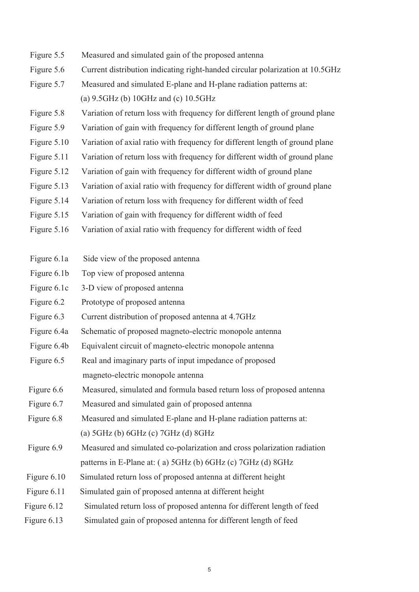- Figure 5.5 Measured and simulated gain of the proposed antenna
- Figure 5.6 Current distribution indicating right-handed circular polarization at 10.5GHz
- Figure 5.7 Measured and simulated E-plane and H-plane radiation patterns at: (a) 9.5GHz (b) 10GHz and (c) 10.5GHz
- Figure 5.8 Variation of return loss with frequency for different length of ground plane
- Figure 5.9 Variation of gain with frequency for different length of ground plane
- Figure 5.10 Variation of axial ratio with frequency for different length of ground plane
- Figure 5.11 Variation of return loss with frequency for different width of ground plane
- Figure 5.12 Variation of gain with frequency for different width of ground plane
- Figure 5.13 Variation of axial ratio with frequency for different width of ground plane
- Figure 5.14 Variation of return loss with frequency for different width of feed
- Figure 5.15 Variation of gain with frequency for different width of feed
- Figure 5.16 Variation of axial ratio with frequency for different width of feed
- Figure 6.1a Side view of the proposed antenna
- Figure 6.1b Top view of proposed antenna
- Figure 6.1c 3-D view of proposed antenna
- Figure 6.2 Prototype of proposed antenna
- Figure 6.3 Current distribution of proposed antenna at 4.7GHz
- Figure 6.4a Schematic of proposed magneto-electric monopole antenna
- Figure 6.4b Equivalent circuit of magneto-electric monopole antenna
- Figure 6.5 Real and imaginary parts of input impedance of proposed magneto-electric monopole antenna
- Figure 6.6 Measured, simulated and formula based return loss of proposed antenna
- Figure 6.7 Measured and simulated gain of proposed antenna
- Figure 6.8 Measured and simulated E-plane and H-plane radiation patterns at: (a) 5GHz (b) 6GHz (c) 7GHz (d) 8GHz
- Figure 6.9 Measured and simulated co-polarization and cross polarization radiation patterns in E-Plane at: ( a) 5GHz (b) 6GHz (c) 7GHz (d) 8GHz
- Figure 6.10 Simulated return loss of proposed antenna at different height
- Figure 6.11 Simulated gain of proposed antenna at different height
- Figure 6.12 Simulated return loss of proposed antenna for different length of feed
- Figure 6.13 Simulated gain of proposed antenna for different length of feed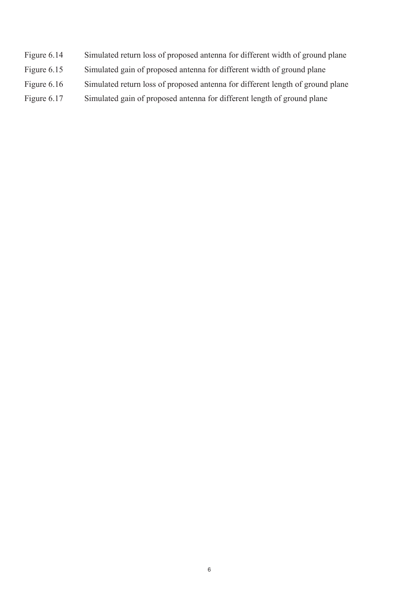- Figure 6.14 Simulated return loss of proposed antenna for different width of ground plane
- Figure 6.15 Simulated gain of proposed antenna for different width of ground plane
- Figure 6.16 Simulated return loss of proposed antenna for different length of ground plane
- Figure 6.17 Simulated gain of proposed antenna for different length of ground plane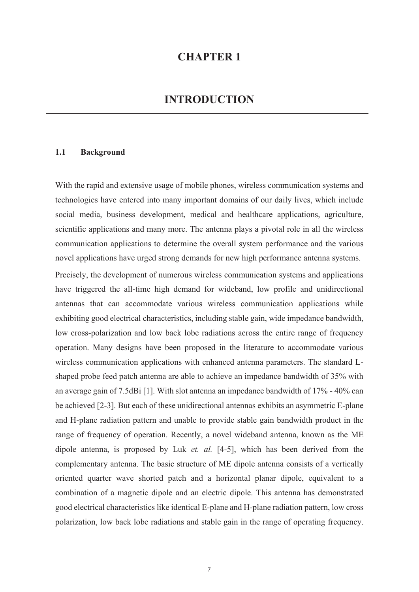#### **CHAPTER 1**

#### **INTRODUCTION**

#### **1.1 Background**

With the rapid and extensive usage of mobile phones, wireless communication systems and technologies have entered into many important domains of our daily lives, which include social media, business development, medical and healthcare applications, agriculture, scientific applications and many more. The antenna plays a pivotal role in all the wireless communication applications to determine the overall system performance and the various novel applications have urged strong demands for new high performance antenna systems.

Precisely, the development of numerous wireless communication systems and applications have triggered the all-time high demand for wideband, low profile and unidirectional antennas that can accommodate various wireless communication applications while exhibiting good electrical characteristics, including stable gain, wide impedance bandwidth, low cross-polarization and low back lobe radiations across the entire range of frequency operation. Many designs have been proposed in the literature to accommodate various wireless communication applications with enhanced antenna parameters. The standard Lshaped probe feed patch antenna are able to achieve an impedance bandwidth of 35% with an average gain of 7.5dBi [1]. With slot antenna an impedance bandwidth of 17% - 40% can be achieved [2-3]. But each of these unidirectional antennas exhibits an asymmetric E-plane and H-plane radiation pattern and unable to provide stable gain bandwidth product in the range of frequency of operation. Recently, a novel wideband antenna, known as the ME dipole antenna, is proposed by Luk *et. al.* [4-5], which has been derived from the complementary antenna. The basic structure of ME dipole antenna consists of a vertically oriented quarter wave shorted patch and a horizontal planar dipole, equivalent to a combination of a magnetic dipole and an electric dipole. This antenna has demonstrated good electrical characteristics like identical E-plane and H-plane radiation pattern, low cross polarization, low back lobe radiations and stable gain in the range of operating frequency.